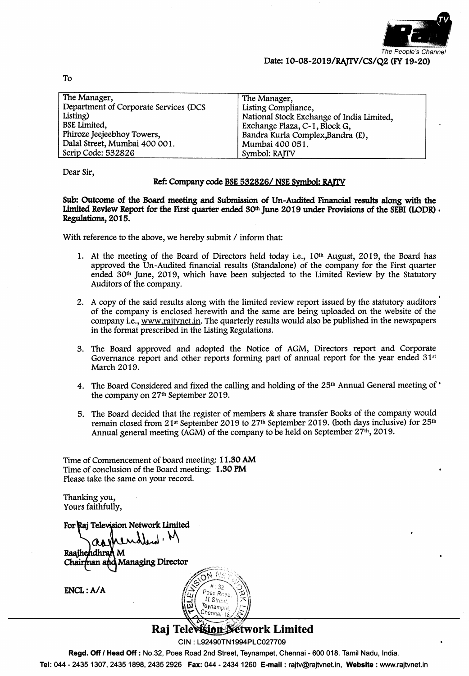

| The Manager,                          | The Manager,                              |
|---------------------------------------|-------------------------------------------|
| Department of Corporate Services (DCS | Listing Compliance,                       |
| Listing)                              | National Stock Exchange of India Limited, |
| <b>BSE</b> Limited,                   | Exchange Plaza, C-1, Block G,             |
| Phiroze Jeejeebhoy Towers,            | Bandra Kurla Complex, Bandra (E),         |
| Dalal Street, Mumbai 400 001.         | Mumbai 400 051.                           |
| Scrip Code: 532826                    | Symbol: RAITV                             |

Dear Sir,

#### Ref: Company code BSE 532826/NSE Symbol: RAJTV

Sub: Outcome of the Board meeting and Submission of Un-Audited Financial results along with the Limited Review Report for the First quarter ended  $30<sup>th</sup>$  June 2019 under Provisions of the SEBI (LODR). Regulations, 2015.

With reference to the above, we hereby submit / inform that:

- 1. At the meeting of the Board of Directors held today i.e., 10<sup>th</sup> August, 2019, the Board has approved the Un-Audited financial results (Standalone) of the company for the First quarter ended 30<sup>th</sup> June, 2019, which have been subjected to the Limited Review by the Statutory Auditors of the company.
- 2. A copy of the said results along with the limited review report issued by the statutory auditors of the company is enclosed herewith and the same are being uploaded on the website of the company i.e., www.rajtvnet.in. The quarterly results would also be published in the newspapers in the format prescribed in the Listing Regulations.
- 3. The Board approved and adopted the Notice of AGM, Directors report and Corporate Governance report and other reports forming part of annual report for the year ended 31<sup>st</sup> March 2019.
- 4. The Board Considered and fixed the calling and holding of the 25<sup>th</sup> Annual General meeting of ' the company on 27<sup>th</sup> September 2019.
- 5. The Board decided that the register of members & share transfer Books of the company would remain closed from 21<sup>st</sup> September 2019 to 27<sup>th</sup> September 2019. (both days inclusive) for 25<sup>th</sup> Annual general meeting (AGM) of the company to be held on September 27<sup>th</sup>, 2019.

Time of Commencement of board meeting: 11.30 AM Time of conclusion of the Board meeting: 1.30 PM Please take the same on your record.

Thanking you, Yours faithfully,

For Rai Television Network Limited

Raajhehdhran M Chairman and Managing Director

 $ENCL: A/A$ 



#### **Višion Détwork Limited** Raj Tel

CIN: L92490TN1994PLC027709

Regd. Off / Head Off : No.32, Poes Road 2nd Street, Teynampet, Chennai - 600 018. Tamil Nadu, India.

Tel: 044 - 2435 1307, 2435 1898, 2435 2926 Fax: 044 - 2434 1260 E-mail : rajtv@rajtvnet.in, Website : www.rajtvnet.in

To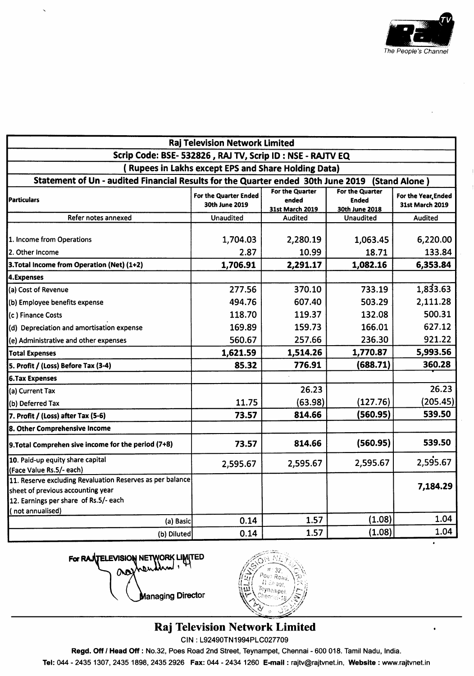

 $\lambda$ 

| Raj Television Network Limited<br>Scrip Code: BSE- 532826, RAJ TV, Scrip ID: NSE - RAJTV EQ<br><b>Rupees in Lakhs except EPS and Share Holding Data)</b><br>Statement of Un - audited Financial Results for the Quarter ended 30th June 2019 (Stand Alone) |          |          |          |          |                           |                                         |                                             |                                                   |                                        |
|------------------------------------------------------------------------------------------------------------------------------------------------------------------------------------------------------------------------------------------------------------|----------|----------|----------|----------|---------------------------|-----------------------------------------|---------------------------------------------|---------------------------------------------------|----------------------------------------|
|                                                                                                                                                                                                                                                            |          |          |          |          | <b>Particulars</b>        | For the Quarter Ended<br>30th June 2019 | For the Quarter<br>ended<br>31st March 2019 | For the Quarter<br><b>Ended</b><br>30th June 2018 | For the Year, Ended<br>31st March 2019 |
|                                                                                                                                                                                                                                                            |          |          |          |          | Refer notes annexed       | <b>Unaudited</b>                        | Audited                                     | <b>Unaudited</b>                                  | <b>Audited</b>                         |
|                                                                                                                                                                                                                                                            |          |          |          |          | 1. Income from Operations | 1,704.03                                | 2,280.19                                    | 1,063.45                                          | 6,220.00                               |
| 2. Other Income                                                                                                                                                                                                                                            | 2.87     | 10.99    | 18.71    | 133.84   |                           |                                         |                                             |                                                   |                                        |
| 3. Total Income from Operation (Net) (1+2)                                                                                                                                                                                                                 | 1,706.91 | 2,291.17 | 1,082.16 | 6,353.84 |                           |                                         |                                             |                                                   |                                        |
| 4.Expenses                                                                                                                                                                                                                                                 |          |          |          |          |                           |                                         |                                             |                                                   |                                        |
| (a) Cost of Revenue                                                                                                                                                                                                                                        | 277.56   | 370.10   | 733.19   | 1,833.63 |                           |                                         |                                             |                                                   |                                        |
| (b) Employee benefits expense                                                                                                                                                                                                                              | 494.76   | 607.40   | 503.29   | 2,111.28 |                           |                                         |                                             |                                                   |                                        |
| (c) Finance Costs                                                                                                                                                                                                                                          | 118.70   | 119.37   | 132.08   | 500.31   |                           |                                         |                                             |                                                   |                                        |
| (d) Depreciation and amortisation expense                                                                                                                                                                                                                  | 169.89   | 159.73   | 166.01   | 627.12   |                           |                                         |                                             |                                                   |                                        |
| (e) Administrative and other expenses                                                                                                                                                                                                                      | 560.67   | 257.66   | 236.30   | 921.22   |                           |                                         |                                             |                                                   |                                        |
| <b>Total Expenses</b>                                                                                                                                                                                                                                      | 1,621.59 | 1,514.26 | 1,770.87 | 5,993.56 |                           |                                         |                                             |                                                   |                                        |
| 5. Profit / (Loss) Before Tax (3-4)                                                                                                                                                                                                                        | 85.32    | 776.91   | (688.71) | 360.28   |                           |                                         |                                             |                                                   |                                        |
| <b>6.Tax Expenses</b>                                                                                                                                                                                                                                      |          |          |          |          |                           |                                         |                                             |                                                   |                                        |
| (a) Current Tax                                                                                                                                                                                                                                            |          | 26.23    |          | 26.23    |                           |                                         |                                             |                                                   |                                        |
| (b) Deferred Tax                                                                                                                                                                                                                                           | 11.75    | (63.98)  | (127.76) | (205.45) |                           |                                         |                                             |                                                   |                                        |
| 7. Profit / (Loss) after Tax (5-6)                                                                                                                                                                                                                         | 73.57    | 814.66   | (560.95) | 539.50   |                           |                                         |                                             |                                                   |                                        |
| 8. Other Comprehensive Income                                                                                                                                                                                                                              |          |          |          |          |                           |                                         |                                             |                                                   |                                        |
| 9. Total Comprehen sive income for the period (7+8)                                                                                                                                                                                                        | 73.57    | 814.66   | (560.95) | 539.50   |                           |                                         |                                             |                                                   |                                        |
| 10. Paid-up equity share capital                                                                                                                                                                                                                           | 2,595.67 | 2,595.67 | 2,595.67 | 2,595.67 |                           |                                         |                                             |                                                   |                                        |
| (Face Value Rs.5/- each)                                                                                                                                                                                                                                   |          |          |          |          |                           |                                         |                                             |                                                   |                                        |
| 11. Reserve excluding Revaluation Reserves as per balance<br>sheet of previous accounting year<br>12. Earnings per share of Rs.5/- each                                                                                                                    |          |          |          | 7,184.29 |                           |                                         |                                             |                                                   |                                        |
| (not annualised)<br>(a) Basic                                                                                                                                                                                                                              | 0.14     | 1.57     | (1.08)   | 1.04     |                           |                                         |                                             |                                                   |                                        |
| (b) Diluted                                                                                                                                                                                                                                                | 0.14     | 1.57     | (1.08)   | 1.04     |                           |                                         |                                             |                                                   |                                        |

For RAJTELEVISION NETWORK LIMITED Ο

**Managing Director** 



# **Raj Television Network Limited**

CIN: L92490TN1994PLC027709

Regd. Off / Head Off : No.32, Poes Road 2nd Street, Teynampet, Chennai - 600 018. Tamil Nadu, India.

Tel: 044 - 2435 1307, 2435 1898, 2435 2926 Fax: 044 - 2434 1260 E-mail : rajtv@rajtvnet.in, Website : www.rajtvnet.in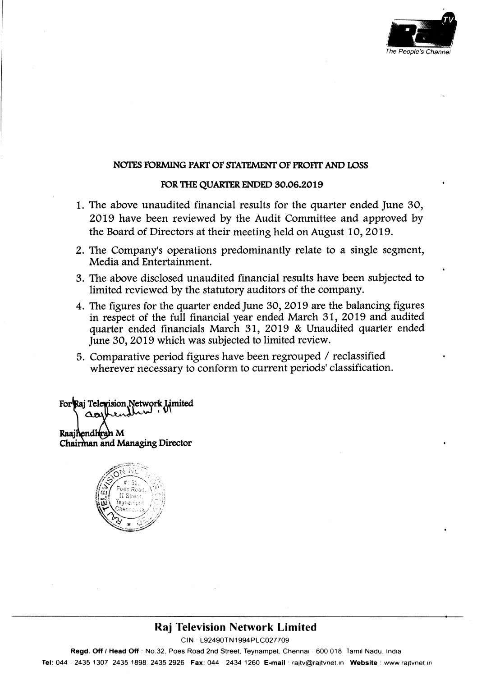

### NOTES FORMING PART OF STATEMENT OF PROFIT AND LOSS

#### FOR THE QUARTER ENDED 30.06.2019

- 1. The above vnaudited financial results for the quarter ended June 30, 2Ol9 have been reviewed by the Audit Committee and approved by the Board of Directors at their meeting held on August 10, 2019.
- 2. The Company's operations predominantly rclate to a single segment, Media and Entertainment.
- 3. Tlre above disclosed unaudited financial results have been subjected to limited reviewed by the statutory auditors of the company.
- 4. The figures for the quarter ended June 30, 2019 are the balancing figures in respect of the full financial year ended March 3l,2Ol9 and audited quarter ended financials March 31, 2019 & Unaudited quarter ended June 30, 2019 which was subjected to limited review.
- 5. Comparative period figures have been regrouped / reclassified wherever necessary to conform to current periods'classification.

For Raj Telexision Network Limited Iliad : an' Raajhendhrah M Chairman and Managing Director



## Raj Television Network Limited

ctN 192490TN1994P1C027709

Regd. Off / Head Off : No.32, Poes Road 2nd Street, Teynampet, Chennar 600 018 Tamil Nadu. India Tel: 044 2435 1307 2435 1898 2435 2926 Fax: 044 2434 1260 E-mail : raitv@rajtvnet.in Website : www.rajtvnet.in